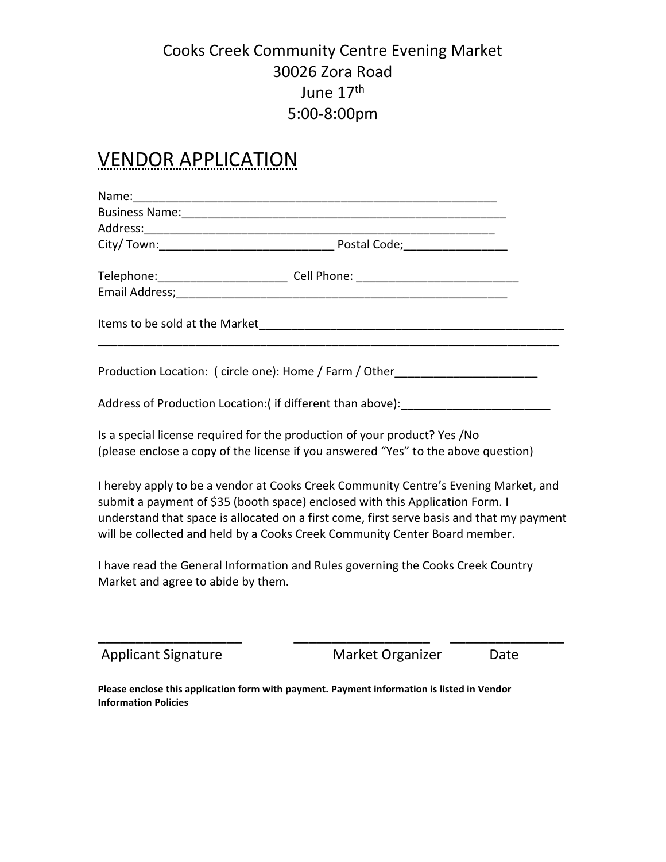#### Cooks Creek Community Centre Evening Market 30026 Zora Road June 17<sup>th</sup> 5:00-8:00pm

#### VENDOR APPLICATION

| Telephone:___________________________ Cell Phone: ______________________________                                                                                                                                                                                                                                                                |                  |      |
|-------------------------------------------------------------------------------------------------------------------------------------------------------------------------------------------------------------------------------------------------------------------------------------------------------------------------------------------------|------------------|------|
|                                                                                                                                                                                                                                                                                                                                                 |                  |      |
| Production Location: ( circle one): Home / Farm / Other                                                                                                                                                                                                                                                                                         |                  |      |
| Address of Production Location:(if different than above): [19] [19] Address of Production Location: (if different than above):                                                                                                                                                                                                                  |                  |      |
| Is a special license required for the production of your product? Yes /No<br>(please enclose a copy of the license if you answered "Yes" to the above question)                                                                                                                                                                                 |                  |      |
| I hereby apply to be a vendor at Cooks Creek Community Centre's Evening Market, and<br>submit a payment of \$35 (booth space) enclosed with this Application Form. I<br>understand that space is allocated on a first come, first serve basis and that my payment<br>will be collected and held by a Cooks Creek Community Center Board member. |                  |      |
| I have read the General Information and Rules governing the Cooks Creek Country<br>Market and agree to abide by them.                                                                                                                                                                                                                           |                  |      |
| <b>Applicant Signature</b>                                                                                                                                                                                                                                                                                                                      | Market Organizer | Date |

**Please enclose this application form with payment. Payment information is listed in Vendor Information Policies**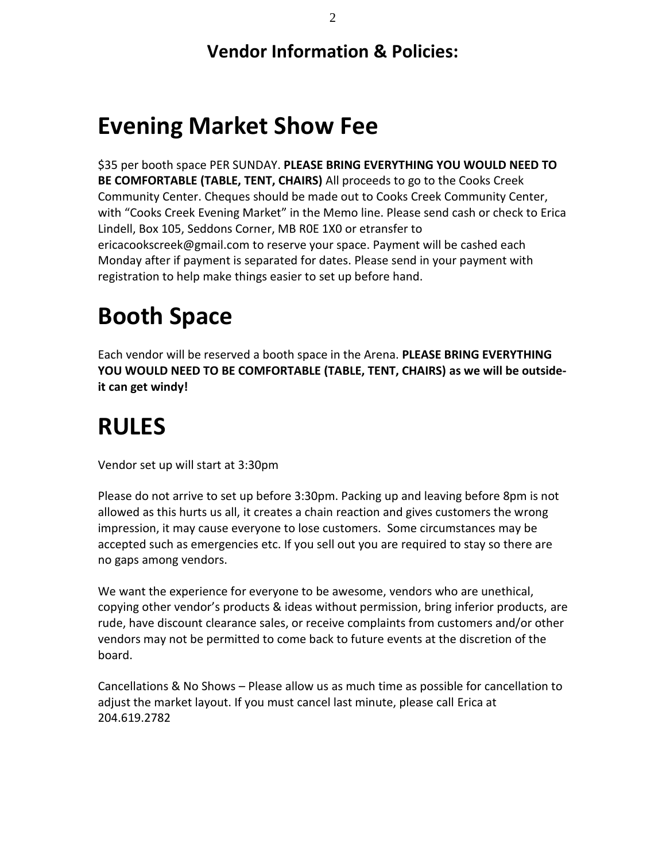**Vendor Information & Policies:**

#### **Evening Market Show Fee**

\$35 per booth space PER SUNDAY. **PLEASE BRING EVERYTHING YOU WOULD NEED TO BE COMFORTABLE (TABLE, TENT, CHAIRS)** All proceeds to go to the Cooks Creek Community Center. Cheques should be made out to Cooks Creek Community Center, with "Cooks Creek Evening Market" in the Memo line. Please send cash or check to Erica Lindell, Box 105, Seddons Corner, MB R0E 1X0 or etransfer to ericacookscreek@gmail.com to reserve your space. Payment will be cashed each Monday after if payment is separated for dates. Please send in your payment with registration to help make things easier to set up before hand.

## **Booth Space**

Each vendor will be reserved a booth space in the Arena. **PLEASE BRING EVERYTHING YOU WOULD NEED TO BE COMFORTABLE (TABLE, TENT, CHAIRS) as we will be outsideit can get windy!**

## **RULES**

Vendor set up will start at 3:30pm

Please do not arrive to set up before 3:30pm. Packing up and leaving before 8pm is not allowed as this hurts us all, it creates a chain reaction and gives customers the wrong impression, it may cause everyone to lose customers. Some circumstances may be accepted such as emergencies etc. If you sell out you are required to stay so there are no gaps among vendors.

We want the experience for everyone to be awesome, vendors who are unethical, copying other vendor's products & ideas without permission, bring inferior products, are rude, have discount clearance sales, or receive complaints from customers and/or other vendors may not be permitted to come back to future events at the discretion of the board.

Cancellations & No Shows – Please allow us as much time as possible for cancellation to adjust the market layout. If you must cancel last minute, please call Erica at 204.619.2782